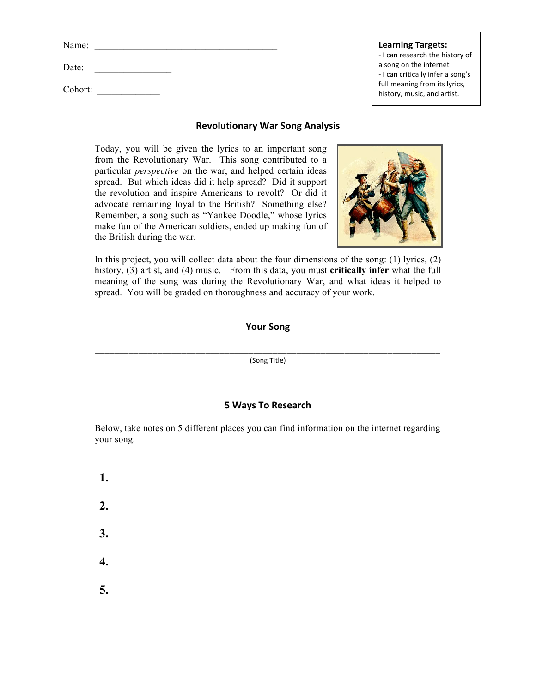| Name:   |  |  |
|---------|--|--|
|         |  |  |
| Date:   |  |  |
|         |  |  |
| Cohort: |  |  |

#### **Revolutionary
War
Song
Analysis**

Today, you will be given the lyrics to an important song from the Revolutionary War. This song contributed to a particular *perspective* on the war, and helped certain ideas spread. But which ideas did it help spread? Did it support the revolution and inspire Americans to revolt? Or did it advocate remaining loyal to the British? Something else? Remember, a song such as "Yankee Doodle," whose lyrics make fun of the American soldiers, ended up making fun of the British during the war.



In this project, you will collect data about the four dimensions of the song: (1) lyrics, (2) history, (3) artist, and (4) music. From this data, you must **critically infer** what the full meaning of the song was during the Revolutionary War, and what ideas it helped to spread. You will be graded on thoroughness and accuracy of your work.

### **Your
Song**

\_\_\_\_\_\_\_\_\_\_\_\_\_\_\_\_\_\_\_\_\_\_\_\_\_\_\_\_\_\_\_\_\_\_\_\_\_\_\_\_\_\_\_\_\_\_\_\_\_\_\_\_\_\_\_\_\_\_\_\_\_\_\_\_\_\_\_\_\_\_\_\_ (Song
Title)

#### **5
Ways
To
Research**

Below, take notes on 5 different places you can find information on the internet regarding your song.

| 1. |  |  |  |
|----|--|--|--|
| 2. |  |  |  |
| 3. |  |  |  |
| 4. |  |  |  |
| 5. |  |  |  |

#### **Learning
Targets:**

‐
I
can
research
the
history
of a
song
on
the
internet ‐
I
can
critically
infer
a
song's full
meaning
from
its
lyrics, history,
music,
and
artist.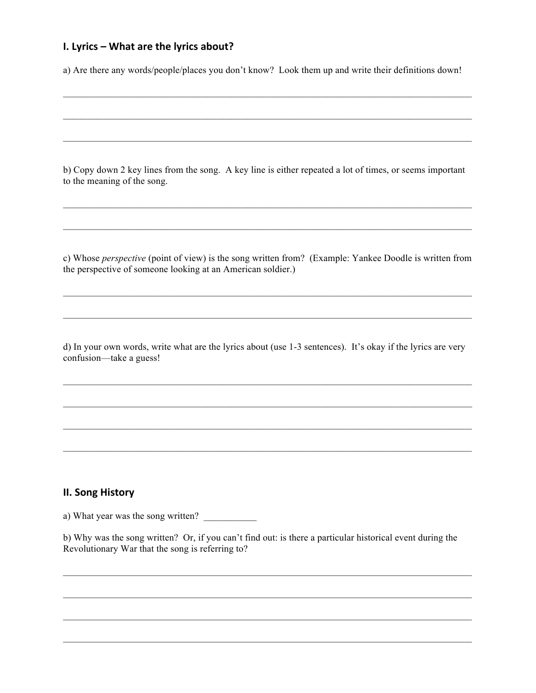# **I.
Lyrics – What
are
the
lyrics
about?**

a) Are there any words/people/places you don't know? Look them up and write their definitions down!

 $\mathcal{L}_\mathcal{L} = \{ \mathcal{L}_\mathcal{L} = \{ \mathcal{L}_\mathcal{L} = \{ \mathcal{L}_\mathcal{L} = \{ \mathcal{L}_\mathcal{L} = \{ \mathcal{L}_\mathcal{L} = \{ \mathcal{L}_\mathcal{L} = \{ \mathcal{L}_\mathcal{L} = \{ \mathcal{L}_\mathcal{L} = \{ \mathcal{L}_\mathcal{L} = \{ \mathcal{L}_\mathcal{L} = \{ \mathcal{L}_\mathcal{L} = \{ \mathcal{L}_\mathcal{L} = \{ \mathcal{L}_\mathcal{L} = \{ \mathcal{L}_\mathcal{$ 

 $\mathcal{L}_\text{max} = \mathcal{L}_\text{max} = \mathcal{L}_\text{max} = \mathcal{L}_\text{max} = \mathcal{L}_\text{max} = \mathcal{L}_\text{max} = \mathcal{L}_\text{max} = \mathcal{L}_\text{max} = \mathcal{L}_\text{max} = \mathcal{L}_\text{max} = \mathcal{L}_\text{max} = \mathcal{L}_\text{max} = \mathcal{L}_\text{max} = \mathcal{L}_\text{max} = \mathcal{L}_\text{max} = \mathcal{L}_\text{max} = \mathcal{L}_\text{max} = \mathcal{L}_\text{max} = \mathcal{$ 

b) Copy down 2 key lines from the song. A key line is either repeated a lot of times, or seems important to the meaning of the song.

 $\mathcal{L}_\mathcal{L} = \{ \mathcal{L}_\mathcal{L} = \{ \mathcal{L}_\mathcal{L} = \{ \mathcal{L}_\mathcal{L} = \{ \mathcal{L}_\mathcal{L} = \{ \mathcal{L}_\mathcal{L} = \{ \mathcal{L}_\mathcal{L} = \{ \mathcal{L}_\mathcal{L} = \{ \mathcal{L}_\mathcal{L} = \{ \mathcal{L}_\mathcal{L} = \{ \mathcal{L}_\mathcal{L} = \{ \mathcal{L}_\mathcal{L} = \{ \mathcal{L}_\mathcal{L} = \{ \mathcal{L}_\mathcal{L} = \{ \mathcal{L}_\mathcal{$ 

 $\mathcal{L}_\text{max} = \mathcal{L}_\text{max} = \mathcal{L}_\text{max} = \mathcal{L}_\text{max} = \mathcal{L}_\text{max} = \mathcal{L}_\text{max} = \mathcal{L}_\text{max} = \mathcal{L}_\text{max} = \mathcal{L}_\text{max} = \mathcal{L}_\text{max} = \mathcal{L}_\text{max} = \mathcal{L}_\text{max} = \mathcal{L}_\text{max} = \mathcal{L}_\text{max} = \mathcal{L}_\text{max} = \mathcal{L}_\text{max} = \mathcal{L}_\text{max} = \mathcal{L}_\text{max} = \mathcal{$ 

c) Whose *perspective* (point of view) is the song written from? (Example: Yankee Doodle is written from the perspective of someone looking at an American soldier.)

 $\mathcal{L}_\text{max} = \mathcal{L}_\text{max} = \mathcal{L}_\text{max} = \mathcal{L}_\text{max} = \mathcal{L}_\text{max} = \mathcal{L}_\text{max} = \mathcal{L}_\text{max} = \mathcal{L}_\text{max} = \mathcal{L}_\text{max} = \mathcal{L}_\text{max} = \mathcal{L}_\text{max} = \mathcal{L}_\text{max} = \mathcal{L}_\text{max} = \mathcal{L}_\text{max} = \mathcal{L}_\text{max} = \mathcal{L}_\text{max} = \mathcal{L}_\text{max} = \mathcal{L}_\text{max} = \mathcal{$ 

 $\mathcal{L}_\text{max} = \mathcal{L}_\text{max} = \mathcal{L}_\text{max} = \mathcal{L}_\text{max} = \mathcal{L}_\text{max} = \mathcal{L}_\text{max} = \mathcal{L}_\text{max} = \mathcal{L}_\text{max} = \mathcal{L}_\text{max} = \mathcal{L}_\text{max} = \mathcal{L}_\text{max} = \mathcal{L}_\text{max} = \mathcal{L}_\text{max} = \mathcal{L}_\text{max} = \mathcal{L}_\text{max} = \mathcal{L}_\text{max} = \mathcal{L}_\text{max} = \mathcal{L}_\text{max} = \mathcal{$ 

d) In your own words, write what are the lyrics about (use 1-3 sentences). It's okay if the lyrics are very confusion—take a guess!

 $\mathcal{L}_\text{max} = \mathcal{L}_\text{max} = \mathcal{L}_\text{max} = \mathcal{L}_\text{max} = \mathcal{L}_\text{max} = \mathcal{L}_\text{max} = \mathcal{L}_\text{max} = \mathcal{L}_\text{max} = \mathcal{L}_\text{max} = \mathcal{L}_\text{max} = \mathcal{L}_\text{max} = \mathcal{L}_\text{max} = \mathcal{L}_\text{max} = \mathcal{L}_\text{max} = \mathcal{L}_\text{max} = \mathcal{L}_\text{max} = \mathcal{L}_\text{max} = \mathcal{L}_\text{max} = \mathcal{$ 

 $\mathcal{L}_\text{max} = \mathcal{L}_\text{max} = \mathcal{L}_\text{max} = \mathcal{L}_\text{max} = \mathcal{L}_\text{max} = \mathcal{L}_\text{max} = \mathcal{L}_\text{max} = \mathcal{L}_\text{max} = \mathcal{L}_\text{max} = \mathcal{L}_\text{max} = \mathcal{L}_\text{max} = \mathcal{L}_\text{max} = \mathcal{L}_\text{max} = \mathcal{L}_\text{max} = \mathcal{L}_\text{max} = \mathcal{L}_\text{max} = \mathcal{L}_\text{max} = \mathcal{L}_\text{max} = \mathcal{$ 

 $\mathcal{L}_\text{max} = \mathcal{L}_\text{max} = \mathcal{L}_\text{max} = \mathcal{L}_\text{max} = \mathcal{L}_\text{max} = \mathcal{L}_\text{max} = \mathcal{L}_\text{max} = \mathcal{L}_\text{max} = \mathcal{L}_\text{max} = \mathcal{L}_\text{max} = \mathcal{L}_\text{max} = \mathcal{L}_\text{max} = \mathcal{L}_\text{max} = \mathcal{L}_\text{max} = \mathcal{L}_\text{max} = \mathcal{L}_\text{max} = \mathcal{L}_\text{max} = \mathcal{L}_\text{max} = \mathcal{$ 

## **II.
Song
History**

a) What year was the song written?

b) Why was the song written? Or, if you can't find out: is there a particular historical event during the Revolutionary War that the song is referring to?

 $\mathcal{L}_\text{max} = \mathcal{L}_\text{max} = \mathcal{L}_\text{max} = \mathcal{L}_\text{max} = \mathcal{L}_\text{max} = \mathcal{L}_\text{max} = \mathcal{L}_\text{max} = \mathcal{L}_\text{max} = \mathcal{L}_\text{max} = \mathcal{L}_\text{max} = \mathcal{L}_\text{max} = \mathcal{L}_\text{max} = \mathcal{L}_\text{max} = \mathcal{L}_\text{max} = \mathcal{L}_\text{max} = \mathcal{L}_\text{max} = \mathcal{L}_\text{max} = \mathcal{L}_\text{max} = \mathcal{$ 

 $\mathcal{L}_\text{max}$  , and the contract of the contract of the contract of the contract of the contract of the contract of the contract of the contract of the contract of the contract of the contract of the contract of the contr

 $\mathcal{L}_\text{max} = \mathcal{L}_\text{max} = \mathcal{L}_\text{max} = \mathcal{L}_\text{max} = \mathcal{L}_\text{max} = \mathcal{L}_\text{max} = \mathcal{L}_\text{max} = \mathcal{L}_\text{max} = \mathcal{L}_\text{max} = \mathcal{L}_\text{max} = \mathcal{L}_\text{max} = \mathcal{L}_\text{max} = \mathcal{L}_\text{max} = \mathcal{L}_\text{max} = \mathcal{L}_\text{max} = \mathcal{L}_\text{max} = \mathcal{L}_\text{max} = \mathcal{L}_\text{max} = \mathcal{$ 

 $\mathcal{L}_\text{max}$  , and the contract of the contract of the contract of the contract of the contract of the contract of the contract of the contract of the contract of the contract of the contract of the contract of the contr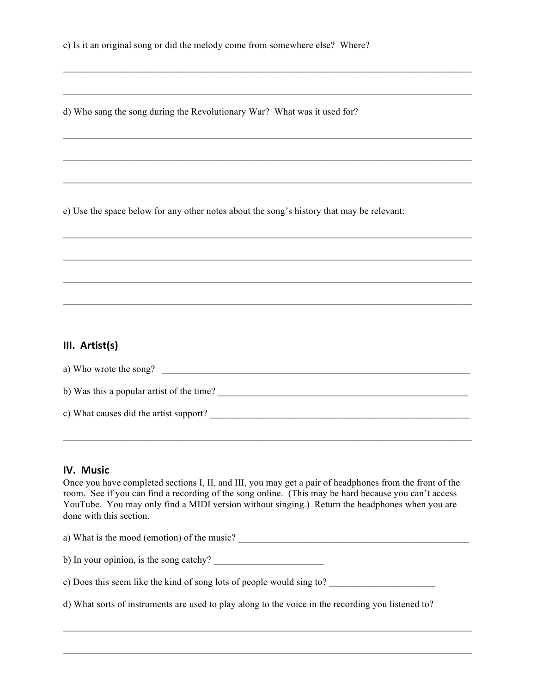$\mathcal{L}_\text{max} = \mathcal{L}_\text{max} = \mathcal{L}_\text{max} = \mathcal{L}_\text{max} = \mathcal{L}_\text{max} = \mathcal{L}_\text{max} = \mathcal{L}_\text{max} = \mathcal{L}_\text{max} = \mathcal{L}_\text{max} = \mathcal{L}_\text{max} = \mathcal{L}_\text{max} = \mathcal{L}_\text{max} = \mathcal{L}_\text{max} = \mathcal{L}_\text{max} = \mathcal{L}_\text{max} = \mathcal{L}_\text{max} = \mathcal{L}_\text{max} = \mathcal{L}_\text{max} = \mathcal{$ 

 $\mathcal{L}_\text{max} = \mathcal{L}_\text{max} = \mathcal{L}_\text{max} = \mathcal{L}_\text{max} = \mathcal{L}_\text{max} = \mathcal{L}_\text{max} = \mathcal{L}_\text{max} = \mathcal{L}_\text{max} = \mathcal{L}_\text{max} = \mathcal{L}_\text{max} = \mathcal{L}_\text{max} = \mathcal{L}_\text{max} = \mathcal{L}_\text{max} = \mathcal{L}_\text{max} = \mathcal{L}_\text{max} = \mathcal{L}_\text{max} = \mathcal{L}_\text{max} = \mathcal{L}_\text{max} = \mathcal{$ 

 $\mathcal{L}_\text{max} = \mathcal{L}_\text{max} = \mathcal{L}_\text{max} = \mathcal{L}_\text{max} = \mathcal{L}_\text{max} = \mathcal{L}_\text{max} = \mathcal{L}_\text{max} = \mathcal{L}_\text{max} = \mathcal{L}_\text{max} = \mathcal{L}_\text{max} = \mathcal{L}_\text{max} = \mathcal{L}_\text{max} = \mathcal{L}_\text{max} = \mathcal{L}_\text{max} = \mathcal{L}_\text{max} = \mathcal{L}_\text{max} = \mathcal{L}_\text{max} = \mathcal{L}_\text{max} = \mathcal{$ 

 $\mathcal{L}_\text{max} = \mathcal{L}_\text{max} = \mathcal{L}_\text{max} = \mathcal{L}_\text{max} = \mathcal{L}_\text{max} = \mathcal{L}_\text{max} = \mathcal{L}_\text{max} = \mathcal{L}_\text{max} = \mathcal{L}_\text{max} = \mathcal{L}_\text{max} = \mathcal{L}_\text{max} = \mathcal{L}_\text{max} = \mathcal{L}_\text{max} = \mathcal{L}_\text{max} = \mathcal{L}_\text{max} = \mathcal{L}_\text{max} = \mathcal{L}_\text{max} = \mathcal{L}_\text{max} = \mathcal{$ 

 $\mathcal{L}_\text{max}$  , and the contract of the contract of the contract of the contract of the contract of the contract of the contract of the contract of the contract of the contract of the contract of the contract of the contr

 $\mathcal{L}_\mathcal{L} = \{ \mathcal{L}_\mathcal{L} = \{ \mathcal{L}_\mathcal{L} = \{ \mathcal{L}_\mathcal{L} = \{ \mathcal{L}_\mathcal{L} = \{ \mathcal{L}_\mathcal{L} = \{ \mathcal{L}_\mathcal{L} = \{ \mathcal{L}_\mathcal{L} = \{ \mathcal{L}_\mathcal{L} = \{ \mathcal{L}_\mathcal{L} = \{ \mathcal{L}_\mathcal{L} = \{ \mathcal{L}_\mathcal{L} = \{ \mathcal{L}_\mathcal{L} = \{ \mathcal{L}_\mathcal{L} = \{ \mathcal{L}_\mathcal{$ 

 $\mathcal{L}_\text{max} = \mathcal{L}_\text{max} = \mathcal{L}_\text{max} = \mathcal{L}_\text{max} = \mathcal{L}_\text{max} = \mathcal{L}_\text{max} = \mathcal{L}_\text{max} = \mathcal{L}_\text{max} = \mathcal{L}_\text{max} = \mathcal{L}_\text{max} = \mathcal{L}_\text{max} = \mathcal{L}_\text{max} = \mathcal{L}_\text{max} = \mathcal{L}_\text{max} = \mathcal{L}_\text{max} = \mathcal{L}_\text{max} = \mathcal{L}_\text{max} = \mathcal{L}_\text{max} = \mathcal{$ 

d) Who sang the song during the Revolutionary War? What was it used for?

e) Use the space below for any other notes about the song's history that may be relevant:

## **III.

Artist(s)**

| a) Who wrote the song?                    |  |
|-------------------------------------------|--|
|                                           |  |
| b) Was this a popular artist of the time? |  |
|                                           |  |
| c) What causes did the artist support?    |  |
|                                           |  |

 $\mathcal{L}_\text{max} = \mathcal{L}_\text{max} = \mathcal{L}_\text{max} = \mathcal{L}_\text{max} = \mathcal{L}_\text{max} = \mathcal{L}_\text{max} = \mathcal{L}_\text{max} = \mathcal{L}_\text{max} = \mathcal{L}_\text{max} = \mathcal{L}_\text{max} = \mathcal{L}_\text{max} = \mathcal{L}_\text{max} = \mathcal{L}_\text{max} = \mathcal{L}_\text{max} = \mathcal{L}_\text{max} = \mathcal{L}_\text{max} = \mathcal{L}_\text{max} = \mathcal{L}_\text{max} = \mathcal{$ 

## **IV.

Music**

Once you have completed sections I, II, and III, you may get a pair of headphones from the front of the room. See if you can find a recording of the song online. (This may be hard because you can't access YouTube. You may only find a MIDI version without singing.) Return the headphones when you are done with this section.

| a) What is the mood (emotion) of the music?                                                        |  |
|----------------------------------------------------------------------------------------------------|--|
| b) In your opinion, is the song catchy?                                                            |  |
| c) Does this seem like the kind of song lots of people would sing to?                              |  |
| d) What sorts of instruments are used to play along to the voice in the recording you listened to? |  |

 $\mathcal{L}_\text{max} = \mathcal{L}_\text{max} = \mathcal{L}_\text{max} = \mathcal{L}_\text{max} = \mathcal{L}_\text{max} = \mathcal{L}_\text{max} = \mathcal{L}_\text{max} = \mathcal{L}_\text{max} = \mathcal{L}_\text{max} = \mathcal{L}_\text{max} = \mathcal{L}_\text{max} = \mathcal{L}_\text{max} = \mathcal{L}_\text{max} = \mathcal{L}_\text{max} = \mathcal{L}_\text{max} = \mathcal{L}_\text{max} = \mathcal{L}_\text{max} = \mathcal{L}_\text{max} = \mathcal{$ 

 $\mathcal{L}_\text{max} = \mathcal{L}_\text{max} = \mathcal{L}_\text{max} = \mathcal{L}_\text{max} = \mathcal{L}_\text{max} = \mathcal{L}_\text{max} = \mathcal{L}_\text{max} = \mathcal{L}_\text{max} = \mathcal{L}_\text{max} = \mathcal{L}_\text{max} = \mathcal{L}_\text{max} = \mathcal{L}_\text{max} = \mathcal{L}_\text{max} = \mathcal{L}_\text{max} = \mathcal{L}_\text{max} = \mathcal{L}_\text{max} = \mathcal{L}_\text{max} = \mathcal{L}_\text{max} = \mathcal{$